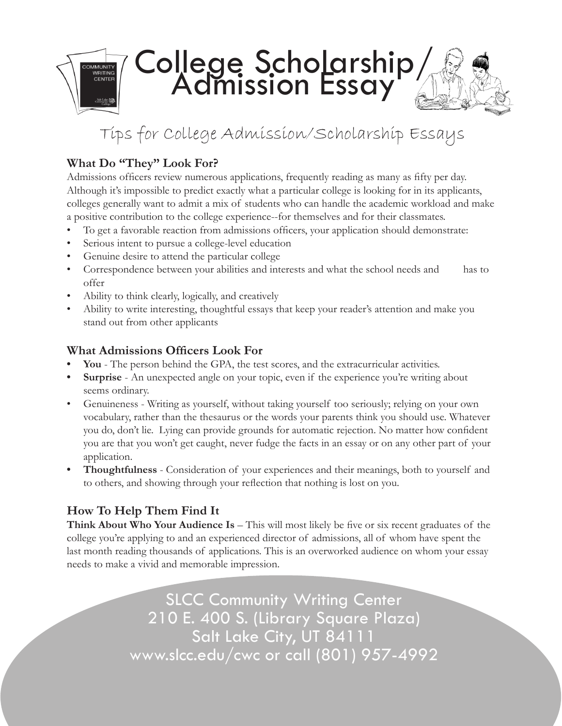

# Tips for College Admission/Scholarship Essays

## **What Do "They" Look For?**

Admissions officers review numerous applications, frequently reading as many as fifty per day. Although it's impossible to predict exactly what a particular college is looking for in its applicants, colleges generally want to admit a mix of students who can handle the academic workload and make a positive contribution to the college experience--for themselves and for their classmates.

- To get a favorable reaction from admissions officers, your application should demonstrate:
- Serious intent to pursue a college-level education
- Genuine desire to attend the particular college
- Correspondence between your abilities and interests and what the school needs and has to offer
- Ability to think clearly, logically, and creatively
- Ability to write interesting, thoughtful essays that keep your reader's attention and make you stand out from other applicants

#### **What Admissions Officers Look For**

- You The person behind the GPA, the test scores, and the extracurricular activities.
- **Surprise** An unexpected angle on your topic, even if the experience you're writing about seems ordinary.
- Genuineness Writing as yourself, without taking yourself too seriously; relying on your own vocabulary, rather than the thesaurus or the words your parents think you should use. Whatever you do, don't lie. Lying can provide grounds for automatic rejection. No matter how confident you are that you won't get caught, never fudge the facts in an essay or on any other part of your application.
- **• Thoughtfulness** Consideration of your experiences and their meanings, both to yourself and to others, and showing through your reflection that nothing is lost on you.

### **How To Help Them Find It**

**Think About Who Your Audience Is** – This will most likely be five or six recent graduates of the college you're applying to and an experienced director of admissions, all of whom have spent the last month reading thousands of applications. This is an overworked audience on whom your essay needs to make a vivid and memorable impression.

> SLCC Community Writing Center 210 E. 400 S. (Library Square Plaza) Salt Lake City, UT 84111 www.slcc.edu/cwc or call (801) 957-4992